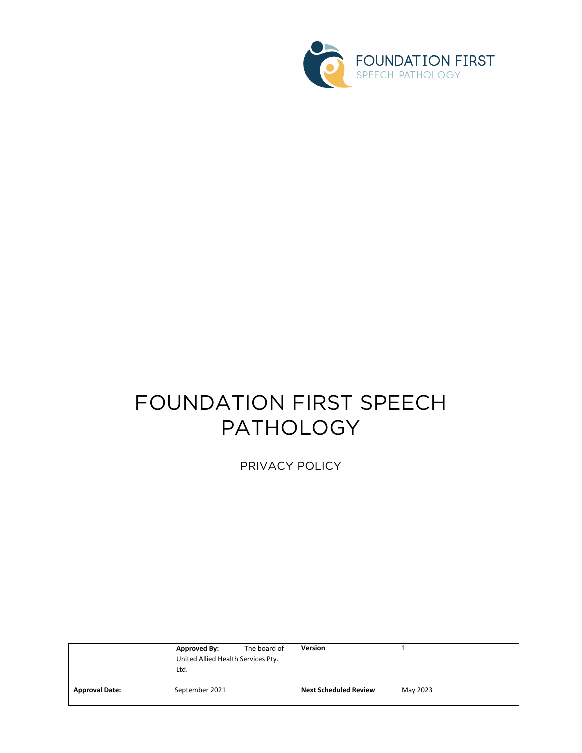

# FOUNDATION FIRST SPEECH PATHOLOGY

PRIVACY POLICY

|                       | <b>Approved By:</b>                | The board of | <b>Version</b>               |          |
|-----------------------|------------------------------------|--------------|------------------------------|----------|
|                       | United Allied Health Services Pty. |              |                              |          |
|                       | Ltd.                               |              |                              |          |
|                       |                                    |              |                              |          |
| <b>Approval Date:</b> | September 2021                     |              | <b>Next Scheduled Review</b> | May 2023 |
|                       |                                    |              |                              |          |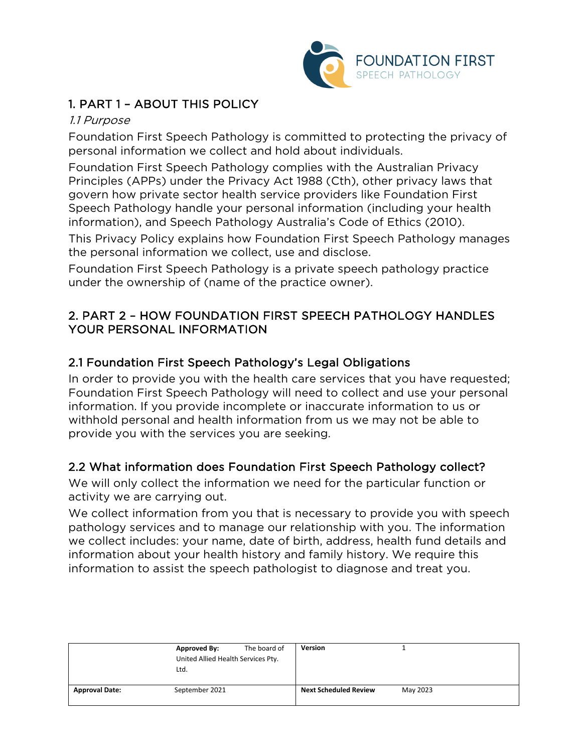

# 1. PART 1 – ABOUT THIS POLICY

#### 1.1 Purpose

Foundation First Speech Pathology is committed to protecting the privacy of personal information we collect and hold about individuals.

Foundation First Speech Pathology complies with the Australian Privacy Principles (APPs) under the Privacy Act 1988 (Cth), other privacy laws that govern how private sector health service providers like Foundation First Speech Pathology handle your personal information (including your health information), and Speech Pathology Australia's Code of Ethics (2010).

This Privacy Policy explains how Foundation First Speech Pathology manages the personal information we collect, use and disclose.

Foundation First Speech Pathology is a private speech pathology practice under the ownership of (name of the practice owner).

## 2. PART 2 – HOW FOUNDATION FIRST SPEECH PATHOLOGY HANDLES YOUR PERSONAL INFORMATION

## 2.1 Foundation First Speech Pathology's Legal Obligations

In order to provide you with the health care services that you have requested; Foundation First Speech Pathology will need to collect and use your personal information. If you provide incomplete or inaccurate information to us or withhold personal and health information from us we may not be able to provide you with the services you are seeking.

# 2.2 What information does Foundation First Speech Pathology collect?

We will only collect the information we need for the particular function or activity we are carrying out.

We collect information from you that is necessary to provide you with speech pathology services and to manage our relationship with you. The information we collect includes: your name, date of birth, address, health fund details and information about your health history and family history. We require this information to assist the speech pathologist to diagnose and treat you.

|                       | <b>Approved By:</b><br>United Allied Health Services Pty.<br>Ltd. | The board of | <b>Version</b>               |          |
|-----------------------|-------------------------------------------------------------------|--------------|------------------------------|----------|
| <b>Approval Date:</b> | September 2021                                                    |              | <b>Next Scheduled Review</b> | May 2023 |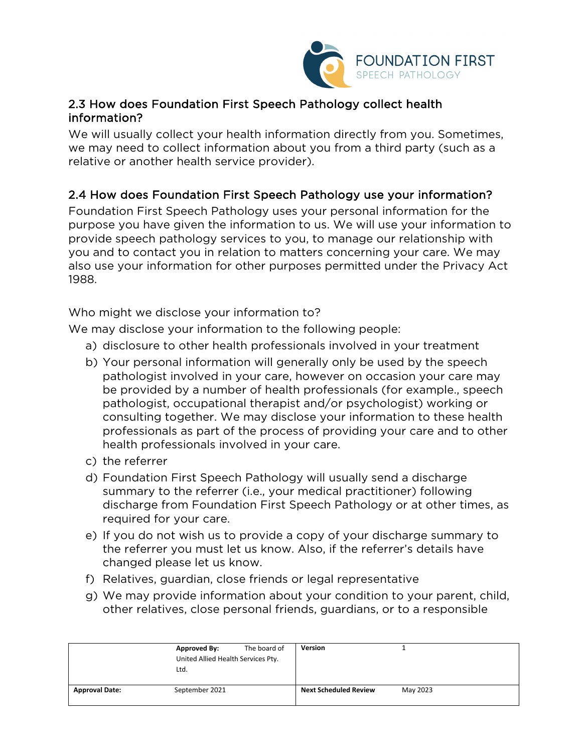

## 2.3 How does Foundation First Speech Pathology collect health information?

We will usually collect your health information directly from you. Sometimes, we may need to collect information about you from a third party (such as a relative or another health service provider).

# 2.4 How does Foundation First Speech Pathology use your information?

Foundation First Speech Pathology uses your personal information for the purpose you have given the information to us. We will use your information to provide speech pathology services to you, to manage our relationship with you and to contact you in relation to matters concerning your care. We may also use your information for other purposes permitted under the Privacy Act 1988.

Who might we disclose your information to?

We may disclose your information to the following people:

- a) disclosure to other health professionals involved in your treatment
- b) Your personal information will generally only be used by the speech pathologist involved in your care, however on occasion your care may be provided by a number of health professionals (for example., speech pathologist, occupational therapist and/or psychologist) working or consulting together. We may disclose your information to these health professionals as part of the process of providing your care and to other health professionals involved in your care.
- c) the referrer
- d) Foundation First Speech Pathology will usually send a discharge summary to the referrer (i.e., your medical practitioner) following discharge from Foundation First Speech Pathology or at other times, as required for your care.
- e) If you do not wish us to provide a copy of your discharge summary to the referrer you must let us know. Also, if the referrer's details have changed please let us know.
- f) Relatives, guardian, close friends or legal representative
- g) We may provide information about your condition to your parent, child, other relatives, close personal friends, guardians, or to a responsible

|                       | <b>Approved By:</b><br>United Allied Health Services Pty.<br>Ltd. | The board of | Version                      |          |
|-----------------------|-------------------------------------------------------------------|--------------|------------------------------|----------|
| <b>Approval Date:</b> | September 2021                                                    |              | <b>Next Scheduled Review</b> | May 2023 |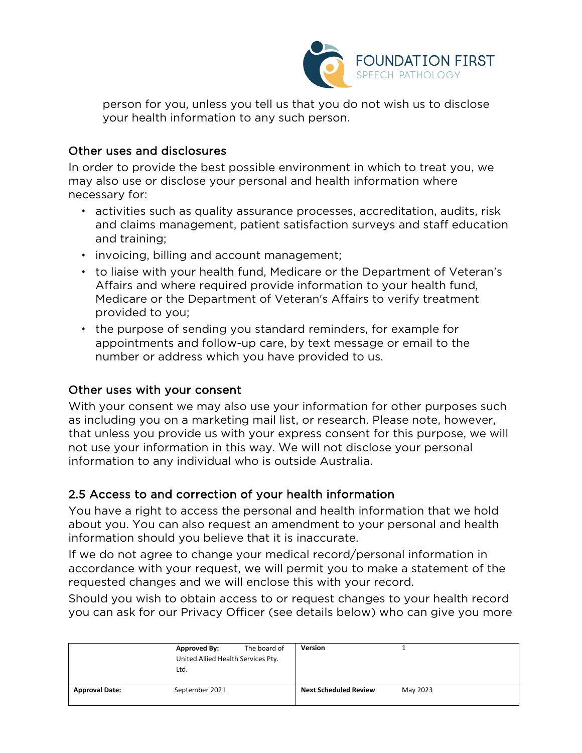

person for you, unless you tell us that you do not wish us to disclose your health information to any such person.

#### Other uses and disclosures

In order to provide the best possible environment in which to treat you, we may also use or disclose your personal and health information where necessary for:

- activities such as quality assurance processes, accreditation, audits, risk and claims management, patient satisfaction surveys and staff education and training;
- invoicing, billing and account management;
- to liaise with your health fund, Medicare or the Department of Veteran's Affairs and where required provide information to your health fund, Medicare or the Department of Veteran's Affairs to verify treatment provided to you;
- the purpose of sending you standard reminders, for example for appointments and follow-up care, by text message or email to the number or address which you have provided to us.

#### Other uses with your consent

With your consent we may also use your information for other purposes such as including you on a marketing mail list, or research. Please note, however, that unless you provide us with your express consent for this purpose, we will not use your information in this way. We will not disclose your personal information to any individual who is outside Australia.

#### 2.5 Access to and correction of your health information

You have a right to access the personal and health information that we hold about you. You can also request an amendment to your personal and health information should you believe that it is inaccurate.

If we do not agree to change your medical record/personal information in accordance with your request, we will permit you to make a statement of the requested changes and we will enclose this with your record.

Should you wish to obtain access to or request changes to your health record you can ask for our Privacy Officer (see details below) who can give you more

|                       | <b>Approved By:</b><br>United Allied Health Services Pty.<br>Ltd. | The board of | Version                      |          |
|-----------------------|-------------------------------------------------------------------|--------------|------------------------------|----------|
| <b>Approval Date:</b> | September 2021                                                    |              | <b>Next Scheduled Review</b> | May 2023 |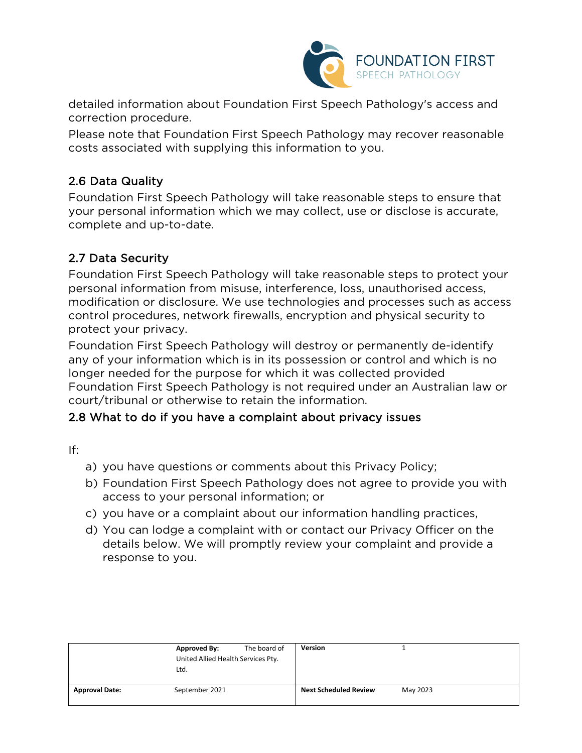

detailed information about Foundation First Speech Pathology's access and correction procedure.

Please note that Foundation First Speech Pathology may recover reasonable costs associated with supplying this information to you.

# 2.6 Data Quality

Foundation First Speech Pathology will take reasonable steps to ensure that your personal information which we may collect, use or disclose is accurate, complete and up-to-date.

## 2.7 Data Security

Foundation First Speech Pathology will take reasonable steps to protect your personal information from misuse, interference, loss, unauthorised access, modification or disclosure. We use technologies and processes such as access control procedures, network firewalls, encryption and physical security to protect your privacy.

Foundation First Speech Pathology will destroy or permanently de-identify any of your information which is in its possession or control and which is no longer needed for the purpose for which it was collected provided Foundation First Speech Pathology is not required under an Australian law or court/tribunal or otherwise to retain the information.

## 2.8 What to do if you have a complaint about privacy issues

If:

- a) you have questions or comments about this Privacy Policy;
- b) Foundation First Speech Pathology does not agree to provide you with access to your personal information; or
- c) you have or a complaint about our information handling practices,
- d) You can lodge a complaint with or contact our Privacy Officer on the details below. We will promptly review your complaint and provide a response to you.

|                       | <b>Approved By:</b>                | The board of | <b>Version</b>               |          |
|-----------------------|------------------------------------|--------------|------------------------------|----------|
|                       | United Allied Health Services Pty. |              |                              |          |
|                       | Ltd.                               |              |                              |          |
|                       |                                    |              |                              |          |
| <b>Approval Date:</b> | September 2021                     |              | <b>Next Scheduled Review</b> | May 2023 |
|                       |                                    |              |                              |          |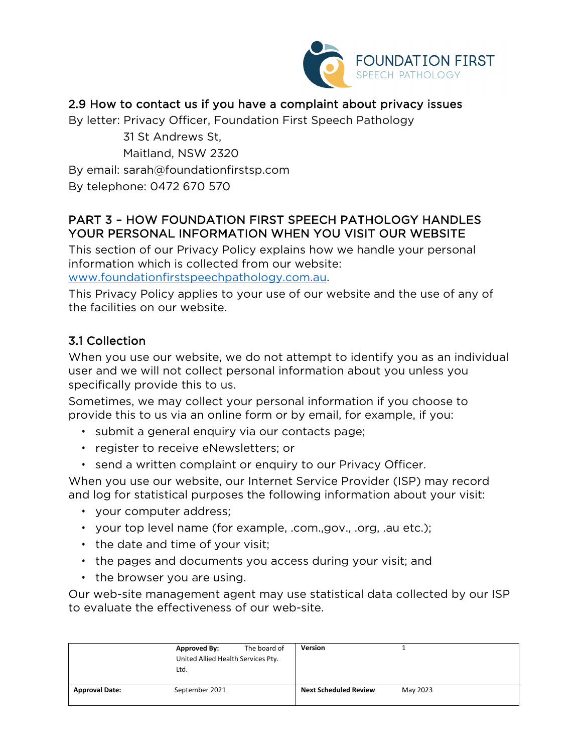

# 2.9 How to contact us if you have a complaint about privacy issues

By letter: Privacy Officer, Foundation First Speech Pathology

 31 St Andrews St, Maitland, NSW 2320 By email: sarah@foundationfirstsp.com By telephone: 0472 670 570

## PART 3 – HOW FOUNDATION FIRST SPEECH PATHOLOGY HANDLES YOUR PERSONAL INFORMATION WHEN YOU VISIT OUR WEBSITE

This section of our Privacy Policy explains how we handle your personal information which is collected from our website: [www.foundationfirstspeechpathology.com.au.](http://www.foundationfirstspeechpathology.com.au/)

This Privacy Policy applies to your use of our website and the use of any of the facilities on our website.

# 3.1 Collection

When you use our website, we do not attempt to identify you as an individual user and we will not collect personal information about you unless you specifically provide this to us.

Sometimes, we may collect your personal information if you choose to provide this to us via an online form or by email, for example, if you:

- submit a general enquiry via our contacts page;
- register to receive eNewsletters; or
- send a written complaint or enquiry to our Privacy Officer.

When you use our website, our Internet Service Provider (ISP) may record and log for statistical purposes the following information about your visit:

- your computer address;
- your top level name (for example, .com.,gov., .org, .au etc.);
- the date and time of your visit;
- the pages and documents you access during your visit; and
- the browser you are using.

Our web-site management agent may use statistical data collected by our ISP to evaluate the effectiveness of our web-site.

|                       | <b>Approved By:</b><br>United Allied Health Services Pty.<br>Ltd. | The board of | <b>Version</b>               |          |  |
|-----------------------|-------------------------------------------------------------------|--------------|------------------------------|----------|--|
| <b>Approval Date:</b> | September 2021                                                    |              | <b>Next Scheduled Review</b> | May 2023 |  |